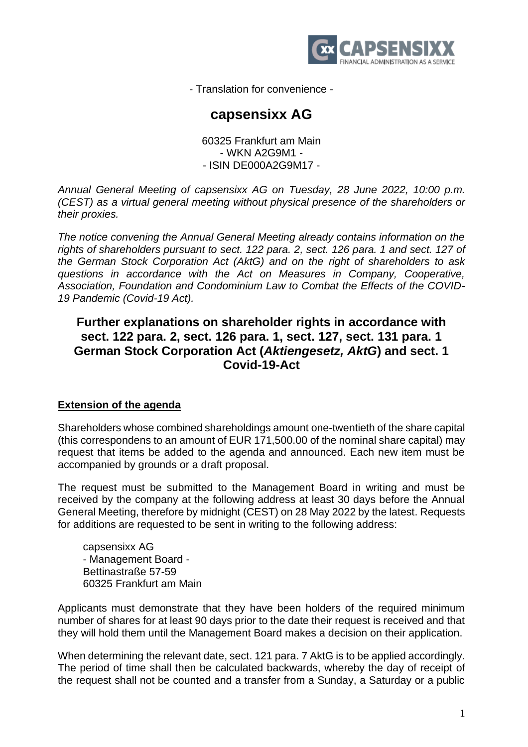

- Translation for convenience -

# **capsensixx AG**

60325 Frankfurt am Main - WKN A2G9M1 - - ISIN DE000A2G9M17 -

*Annual General Meeting of capsensixx AG on Tuesday, 28 June 2022, 10:00 p.m. (CEST) as a virtual general meeting without physical presence of the shareholders or their proxies.*

*The notice convening the Annual General Meeting already contains information on the rights of shareholders pursuant to sect. 122 para. 2, sect. 126 para. 1 and sect. 127 of the German Stock Corporation Act (AktG) and on the right of shareholders to ask questions in accordance with the Act on Measures in Company, Cooperative, Association, Foundation and Condominium Law to Combat the Effects of the COVID-19 Pandemic (Covid-19 Act).*

## **Further explanations on shareholder rights in accordance with sect. 122 para. 2, sect. 126 para. 1, sect. 127, sect. 131 para. 1 German Stock Corporation Act (***Aktiengesetz, AktG***) and sect. 1 Covid-19-Act**

## **Extension of the agenda**

Shareholders whose combined shareholdings amount one-twentieth of the share capital (this correspondens to an amount of EUR 171,500.00 of the nominal share capital) may request that items be added to the agenda and announced. Each new item must be accompanied by grounds or a draft proposal.

The request must be submitted to the Management Board in writing and must be received by the company at the following address at least 30 days before the Annual General Meeting, therefore by midnight (CEST) on 28 May 2022 by the latest. Requests for additions are requested to be sent in writing to the following address:

capsensixx AG - Management Board - Bettinastraße 57-59 60325 Frankfurt am Main

Applicants must demonstrate that they have been holders of the required minimum number of shares for at least 90 days prior to the date their request is received and that they will hold them until the Management Board makes a decision on their application.

When determining the relevant date, sect. 121 para. 7 AktG is to be applied accordingly. The period of time shall then be calculated backwards, whereby the day of receipt of the request shall not be counted and a transfer from a Sunday, a Saturday or a public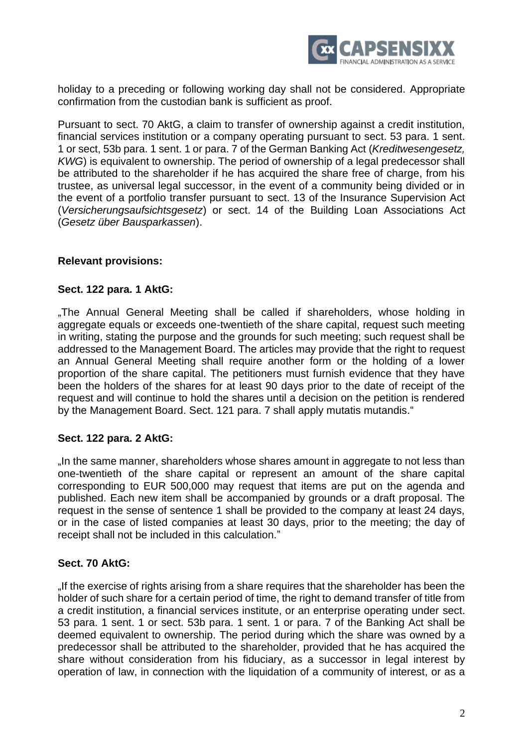

holiday to a preceding or following working day shall not be considered. Appropriate confirmation from the custodian bank is sufficient as proof.

Pursuant to sect. 70 AktG, a claim to transfer of ownership against a credit institution, financial services institution or a company operating pursuant to sect. 53 para. 1 sent. 1 or sect, 53b para. 1 sent. 1 or para. 7 of the German Banking Act (*Kreditwesengesetz, KWG*) is equivalent to ownership. The period of ownership of a legal predecessor shall be attributed to the shareholder if he has acquired the share free of charge, from his trustee, as universal legal successor, in the event of a community being divided or in the event of a portfolio transfer pursuant to sect. 13 of the Insurance Supervision Act (*Versicherungsaufsichtsgesetz*) or sect. 14 of the Building Loan Associations Act (*Gesetz über Bausparkassen*).

## **Relevant provisions:**

#### **Sect. 122 para. 1 AktG:**

"The Annual General Meeting shall be called if shareholders, whose holding in aggregate equals or exceeds one-twentieth of the share capital, request such meeting in writing, stating the purpose and the grounds for such meeting; such request shall be addressed to the Management Board. The articles may provide that the right to request an Annual General Meeting shall require another form or the holding of a lower proportion of the share capital. The petitioners must furnish evidence that they have been the holders of the shares for at least 90 days prior to the date of receipt of the request and will continue to hold the shares until a decision on the petition is rendered by the Management Board. Sect. 121 para. 7 shall apply mutatis mutandis."

#### **Sect. 122 para. 2 AktG:**

. In the same manner, shareholders whose shares amount in aggregate to not less than one-twentieth of the share capital or represent an amount of the share capital corresponding to EUR 500,000 may request that items are put on the agenda and published. Each new item shall be accompanied by grounds or a draft proposal. The request in the sense of sentence 1 shall be provided to the company at least 24 days, or in the case of listed companies at least 30 days, prior to the meeting; the day of receipt shall not be included in this calculation."

#### **Sect. 70 AktG:**

"If the exercise of rights arising from a share requires that the shareholder has been the holder of such share for a certain period of time, the right to demand transfer of title from a credit institution, a financial services institute, or an enterprise operating under sect. 53 para. 1 sent. 1 or sect. 53b para. 1 sent. 1 or para. 7 of the Banking Act shall be deemed equivalent to ownership. The period during which the share was owned by a predecessor shall be attributed to the shareholder, provided that he has acquired the share without consideration from his fiduciary, as a successor in legal interest by operation of law, in connection with the liquidation of a community of interest, or as a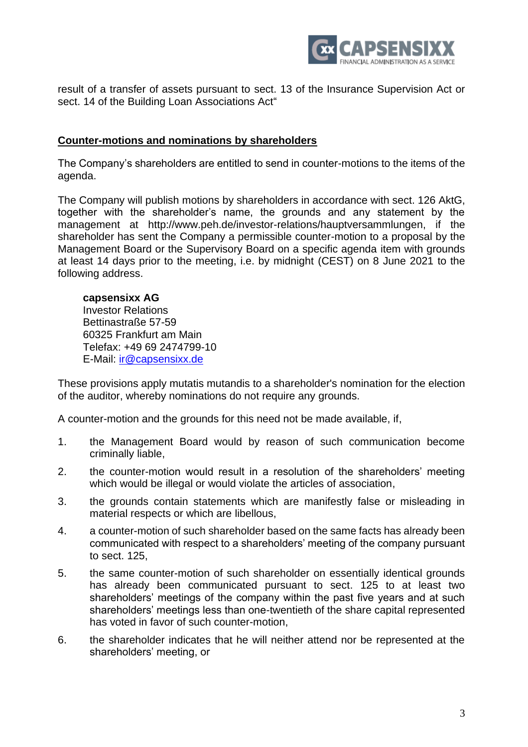

result of a transfer of assets pursuant to sect. 13 of the Insurance Supervision Act or sect. 14 of the Building Loan Associations Act"

#### **Counter-motions and nominations by shareholders**

The Company's shareholders are entitled to send in counter-motions to the items of the agenda.

The Company will publish motions by shareholders in accordance with sect. 126 AktG, together with the shareholder's name, the grounds and any statement by the management at http://www.peh.de/investor-relations/hauptversammlungen, if the shareholder has sent the Company a permissible counter-motion to a proposal by the Management Board or the Supervisory Board on a specific agenda item with grounds at least 14 days prior to the meeting, i.e. by midnight (CEST) on 8 June 2021 to the following address.

#### **capsensixx AG**

Investor Relations Bettinastraße 57-59 60325 Frankfurt am Main Telefax: +49 69 2474799-10 E-Mail: [ir@capsensixx.de](mailto:ir@capsensixx.de)

These provisions apply mutatis mutandis to a shareholder's nomination for the election of the auditor, whereby nominations do not require any grounds.

A counter-motion and the grounds for this need not be made available, if,

- 1. the Management Board would by reason of such communication become criminally liable,
- 2. the counter-motion would result in a resolution of the shareholders' meeting which would be illegal or would violate the articles of association,
- 3. the grounds contain statements which are manifestly false or misleading in material respects or which are libellous,
- 4. a counter-motion of such shareholder based on the same facts has already been communicated with respect to a shareholders' meeting of the company pursuant to sect. 125,
- 5. the same counter-motion of such shareholder on essentially identical grounds has already been communicated pursuant to sect. 125 to at least two shareholders' meetings of the company within the past five years and at such shareholders' meetings less than one-twentieth of the share capital represented has voted in favor of such counter-motion,
- 6. the shareholder indicates that he will neither attend nor be represented at the shareholders' meeting, or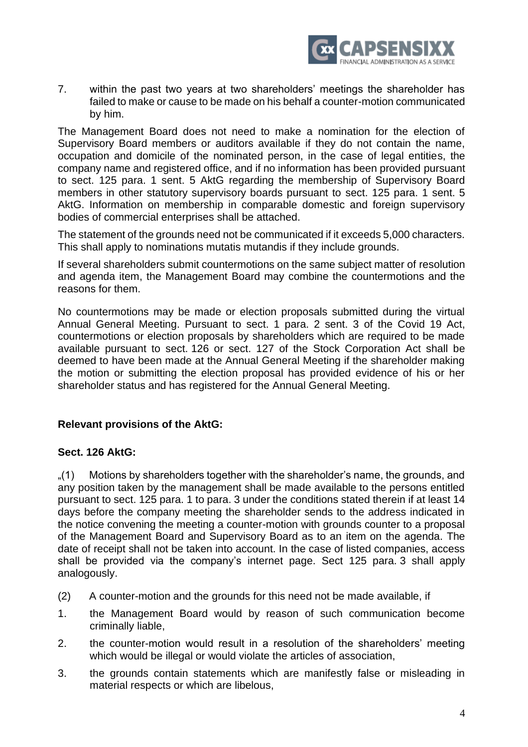

7. within the past two years at two shareholders' meetings the shareholder has failed to make or cause to be made on his behalf a counter-motion communicated by him.

The Management Board does not need to make a nomination for the election of Supervisory Board members or auditors available if they do not contain the name, occupation and domicile of the nominated person, in the case of legal entities, the company name and registered office, and if no information has been provided pursuant to sect. 125 para. 1 sent. 5 AktG regarding the membership of Supervisory Board members in other statutory supervisory boards pursuant to sect. 125 para. 1 sent. 5 AktG. Information on membership in comparable domestic and foreign supervisory bodies of commercial enterprises shall be attached.

The statement of the grounds need not be communicated if it exceeds 5,000 characters. This shall apply to nominations mutatis mutandis if they include grounds.

If several shareholders submit countermotions on the same subject matter of resolution and agenda item, the Management Board may combine the countermotions and the reasons for them.

No countermotions may be made or election proposals submitted during the virtual Annual General Meeting. Pursuant to sect. 1 para. 2 sent. 3 of the Covid 19 Act, countermotions or election proposals by shareholders which are required to be made available pursuant to sect. 126 or sect. 127 of the Stock Corporation Act shall be deemed to have been made at the Annual General Meeting if the shareholder making the motion or submitting the election proposal has provided evidence of his or her shareholder status and has registered for the Annual General Meeting.

## **Relevant provisions of the AktG:**

## **Sect. 126 AktG:**

"(1) Motions by shareholders together with the shareholder's name, the grounds, and any position taken by the management shall be made available to the persons entitled pursuant to sect. 125 para. 1 to para. 3 under the conditions stated therein if at least 14 days before the company meeting the shareholder sends to the address indicated in the notice convening the meeting a counter-motion with grounds counter to a proposal of the Management Board and Supervisory Board as to an item on the agenda. The date of receipt shall not be taken into account. In the case of listed companies, access shall be provided via the company's internet page. Sect 125 para. 3 shall apply analogously.

- (2) A counter-motion and the grounds for this need not be made available, if
- 1. the Management Board would by reason of such communication become criminally liable,
- 2. the counter-motion would result in a resolution of the shareholders' meeting which would be illegal or would violate the articles of association,
- 3. the grounds contain statements which are manifestly false or misleading in material respects or which are libelous,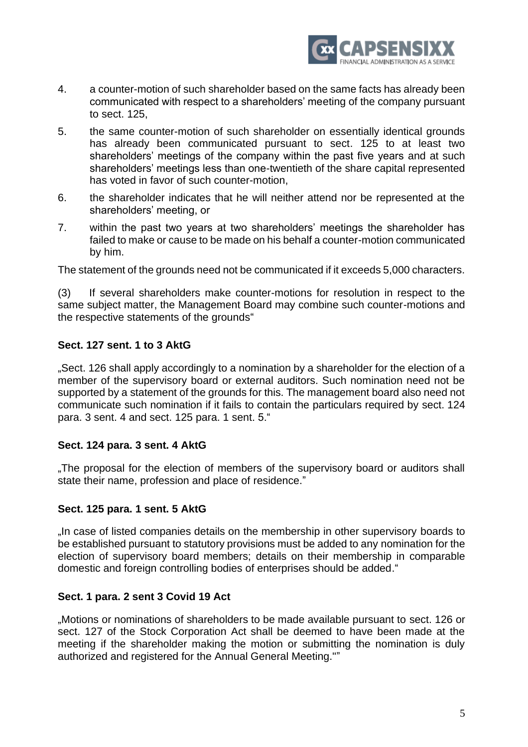

- 4. a counter-motion of such shareholder based on the same facts has already been communicated with respect to a shareholders' meeting of the company pursuant to sect. 125,
- 5. the same counter-motion of such shareholder on essentially identical grounds has already been communicated pursuant to sect. 125 to at least two shareholders' meetings of the company within the past five years and at such shareholders' meetings less than one-twentieth of the share capital represented has voted in favor of such counter-motion,
- 6. the shareholder indicates that he will neither attend nor be represented at the shareholders' meeting, or
- 7. within the past two years at two shareholders' meetings the shareholder has failed to make or cause to be made on his behalf a counter-motion communicated by him.

The statement of the grounds need not be communicated if it exceeds 5,000 characters.

(3) If several shareholders make counter-motions for resolution in respect to the same subject matter, the Management Board may combine such counter-motions and the respective statements of the grounds"

## **Sect. 127 sent. 1 to 3 AktG**

"Sect. 126 shall apply accordingly to a nomination by a shareholder for the election of a member of the supervisory board or external auditors. Such nomination need not be supported by a statement of the grounds for this. The management board also need not communicate such nomination if it fails to contain the particulars required by sect. 124 para. 3 sent. 4 and sect. 125 para. 1 sent. 5."

## **Sect. 124 para. 3 sent. 4 AktG**

.The proposal for the election of members of the supervisory board or auditors shall state their name, profession and place of residence."

## **Sect. 125 para. 1 sent. 5 AktG**

"In case of listed companies details on the membership in other supervisory boards to be established pursuant to statutory provisions must be added to any nomination for the election of supervisory board members; details on their membership in comparable domestic and foreign controlling bodies of enterprises should be added."

#### **Sect. 1 para. 2 sent 3 Covid 19 Act**

"Motions or nominations of shareholders to be made available pursuant to sect. 126 or sect. 127 of the Stock Corporation Act shall be deemed to have been made at the meeting if the shareholder making the motion or submitting the nomination is duly authorized and registered for the Annual General Meeting.""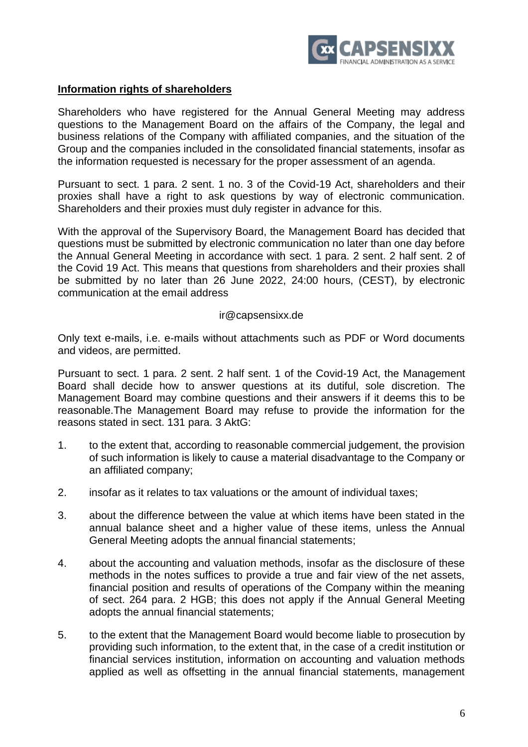

## **Information rights of shareholders**

Shareholders who have registered for the Annual General Meeting may address questions to the Management Board on the affairs of the Company, the legal and business relations of the Company with affiliated companies, and the situation of the Group and the companies included in the consolidated financial statements, insofar as the information requested is necessary for the proper assessment of an agenda.

Pursuant to sect. 1 para. 2 sent. 1 no. 3 of the Covid-19 Act, shareholders and their proxies shall have a right to ask questions by way of electronic communication. Shareholders and their proxies must duly register in advance for this.

With the approval of the Supervisory Board, the Management Board has decided that questions must be submitted by electronic communication no later than one day before the Annual General Meeting in accordance with sect. 1 para. 2 sent. 2 half sent. 2 of the Covid 19 Act. This means that questions from shareholders and their proxies shall be submitted by no later than 26 June 2022, 24:00 hours, (CEST), by electronic communication at the email address

#### ir@capsensixx.de

Only text e-mails, i.e. e-mails without attachments such as PDF or Word documents and videos, are permitted.

Pursuant to sect. 1 para. 2 sent. 2 half sent. 1 of the Covid-19 Act, the Management Board shall decide how to answer questions at its dutiful, sole discretion. The Management Board may combine questions and their answers if it deems this to be reasonable.The Management Board may refuse to provide the information for the reasons stated in sect. 131 para. 3 AktG:

- 1. to the extent that, according to reasonable commercial judgement, the provision of such information is likely to cause a material disadvantage to the Company or an affiliated company;
- 2. insofar as it relates to tax valuations or the amount of individual taxes;
- 3. about the difference between the value at which items have been stated in the annual balance sheet and a higher value of these items, unless the Annual General Meeting adopts the annual financial statements;
- 4. about the accounting and valuation methods, insofar as the disclosure of these methods in the notes suffices to provide a true and fair view of the net assets, financial position and results of operations of the Company within the meaning of sect. 264 para. 2 HGB; this does not apply if the Annual General Meeting adopts the annual financial statements;
- 5. to the extent that the Management Board would become liable to prosecution by providing such information, to the extent that, in the case of a credit institution or financial services institution, information on accounting and valuation methods applied as well as offsetting in the annual financial statements, management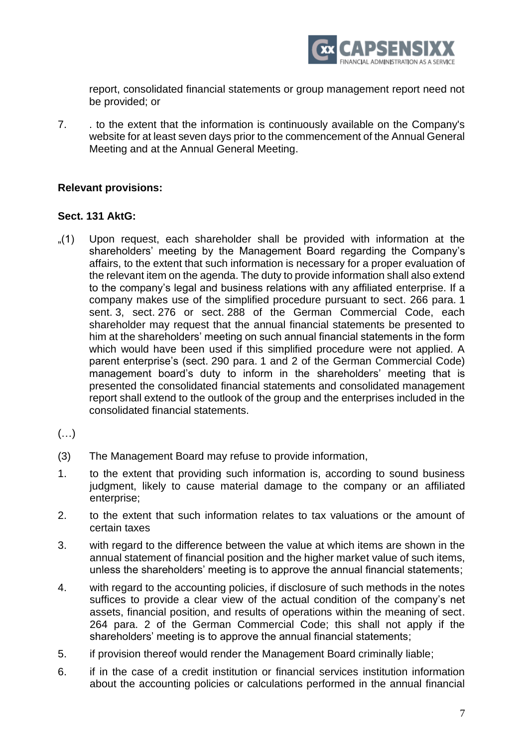

report, consolidated financial statements or group management report need not be provided; or

7. . to the extent that the information is continuously available on the Company's website for at least seven days prior to the commencement of the Annual General Meeting and at the Annual General Meeting.

## **Relevant provisions:**

## **Sect. 131 AktG:**

- "(1) Upon request, each shareholder shall be provided with information at the shareholders' meeting by the Management Board regarding the Company's affairs, to the extent that such information is necessary for a proper evaluation of the relevant item on the agenda. The duty to provide information shall also extend to the company's legal and business relations with any affiliated enterprise. If a company makes use of the simplified procedure pursuant to sect. 266 para. 1 sent. 3, sect. 276 or sect. 288 of the German Commercial Code, each shareholder may request that the annual financial statements be presented to him at the shareholders' meeting on such annual financial statements in the form which would have been used if this simplified procedure were not applied. A parent enterprise's (sect. 290 para. 1 and 2 of the German Commercial Code) management board's duty to inform in the shareholders' meeting that is presented the consolidated financial statements and consolidated management report shall extend to the outlook of the group and the enterprises included in the consolidated financial statements.
- $(\ldots)$
- (3) The Management Board may refuse to provide information,
- 1. to the extent that providing such information is, according to sound business judgment, likely to cause material damage to the company or an affiliated enterprise;
- 2. to the extent that such information relates to tax valuations or the amount of certain taxes
- 3. with regard to the difference between the value at which items are shown in the annual statement of financial position and the higher market value of such items, unless the shareholders' meeting is to approve the annual financial statements;
- 4. with regard to the accounting policies, if disclosure of such methods in the notes suffices to provide a clear view of the actual condition of the company's net assets, financial position, and results of operations within the meaning of sect. 264 para. 2 of the German Commercial Code; this shall not apply if the shareholders' meeting is to approve the annual financial statements;
- 5. if provision thereof would render the Management Board criminally liable;
- 6. if in the case of a credit institution or financial services institution information about the accounting policies or calculations performed in the annual financial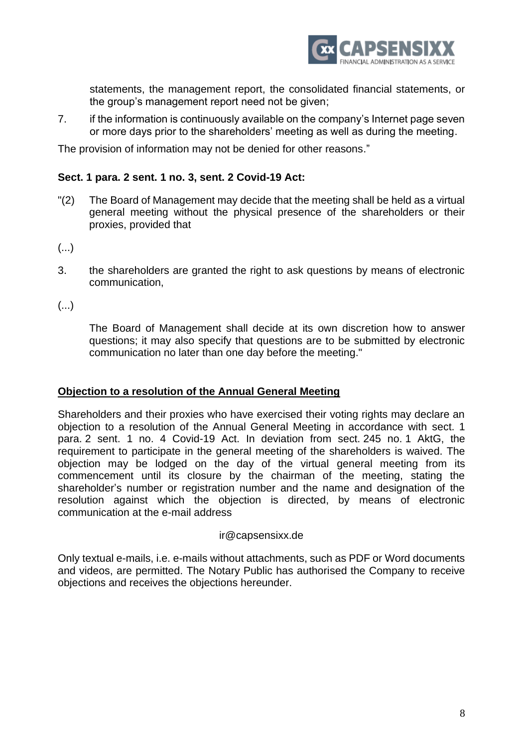

statements, the management report, the consolidated financial statements, or the group's management report need not be given;

7. if the information is continuously available on the company's Internet page seven or more days prior to the shareholders' meeting as well as during the meeting.

The provision of information may not be denied for other reasons."

## **Sect. 1 para. 2 sent. 1 no. 3, sent. 2 Covid-19 Act:**

- "(2) The Board of Management may decide that the meeting shall be held as a virtual general meeting without the physical presence of the shareholders or their proxies, provided that
- (...)
- 3. the shareholders are granted the right to ask questions by means of electronic communication,
- (...)

The Board of Management shall decide at its own discretion how to answer questions; it may also specify that questions are to be submitted by electronic communication no later than one day before the meeting."

#### **Objection to a resolution of the Annual General Meeting**

Shareholders and their proxies who have exercised their voting rights may declare an objection to a resolution of the Annual General Meeting in accordance with sect. 1 para. 2 sent. 1 no. 4 Covid-19 Act. In deviation from sect. 245 no. 1 AktG, the requirement to participate in the general meeting of the shareholders is waived. The objection may be lodged on the day of the virtual general meeting from its commencement until its closure by the chairman of the meeting, stating the shareholder's number or registration number and the name and designation of the resolution against which the objection is directed, by means of electronic communication at the e-mail address

#### ir@capsensixx.de

Only textual e-mails, i.e. e-mails without attachments, such as PDF or Word documents and videos, are permitted. The Notary Public has authorised the Company to receive objections and receives the objections hereunder.